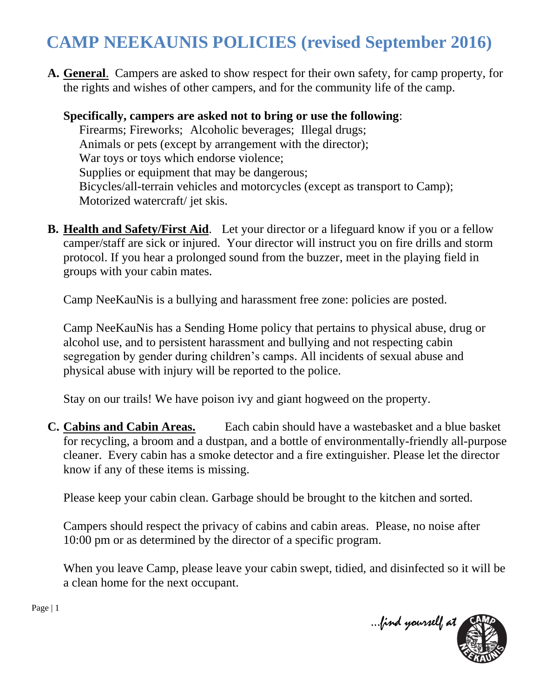## **CAMP NEEKAUNIS POLICIES (revised September 2016)**

**A. General**. Campers are asked to show respect for their own safety, for camp property, for the rights and wishes of other campers, and for the community life of the camp.

**Specifically, campers are asked not to bring or use the following**: Firearms; Fireworks; Alcoholic beverages; Illegal drugs; Animals or pets (except by arrangement with the director); War toys or toys which endorse violence; Supplies or equipment that may be dangerous; Bicycles/all-terrain vehicles and motorcycles (except as transport to Camp); Motorized watercraft/ jet skis.

**B. Health and Safety/First Aid**. Let your director or a lifeguard know if you or a fellow camper/staff are sick or injured. Your director will instruct you on fire drills and storm protocol. If you hear a prolonged sound from the buzzer, meet in the playing field in groups with your cabin mates.

Camp NeeKauNis is a bullying and harassment free zone: policies are posted.

Camp NeeKauNis has a Sending Home policy that pertains to physical abuse, drug or alcohol use, and to persistent harassment and bullying and not respecting cabin segregation by gender during children's camps. All incidents of sexual abuse and physical abuse with injury will be reported to the police.

Stay on our trails! We have poison ivy and giant hogweed on the property.

**C. Cabins and Cabin Areas.** Each cabin should have a wastebasket and a blue basket for recycling, a broom and a dustpan, and a bottle of environmentally-friendly all-purpose cleaner. Every cabin has a smoke detector and a fire extinguisher. Please let the director know if any of these items is missing.

Please keep your cabin clean. Garbage should be brought to the kitchen and sorted.

Campers should respect the privacy of cabins and cabin areas. Please, no noise after 10:00 pm or as determined by the director of a specific program.

When you leave Camp, please leave your cabin swept, tidied, and disinfected so it will be a clean home for the next occupant.



Page | 1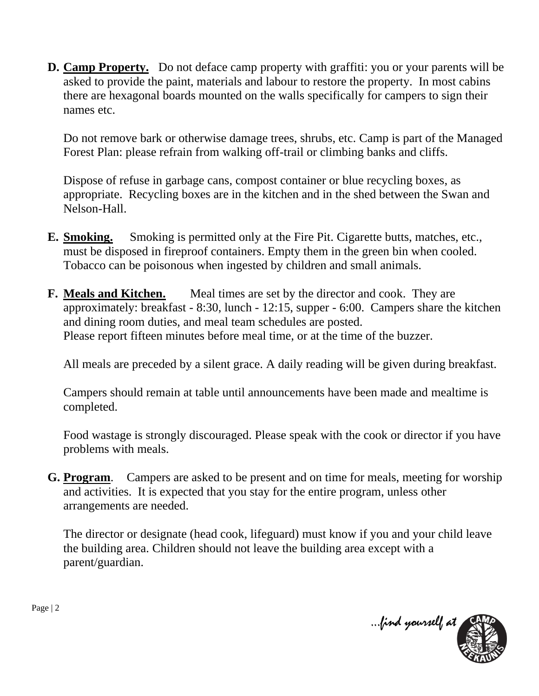**D.** Camp Property. Do not deface camp property with graffiti: you or your parents will be asked to provide the paint, materials and labour to restore the property. In most cabins there are hexagonal boards mounted on the walls specifically for campers to sign their names etc.

Do not remove bark or otherwise damage trees, shrubs, etc. Camp is part of the Managed Forest Plan: please refrain from walking off-trail or climbing banks and cliffs.

Dispose of refuse in garbage cans, compost container or blue recycling boxes, as appropriate. Recycling boxes are in the kitchen and in the shed between the Swan and Nelson-Hall.

- **E. Smoking.** Smoking is permitted only at the Fire Pit. Cigarette butts, matches, etc., must be disposed in fireproof containers. Empty them in the green bin when cooled. Tobacco can be poisonous when ingested by children and small animals.
- **F. Meals and Kitchen.** Meal times are set by the director and cook. They are approximately: breakfast - 8:30, lunch - 12:15, supper - 6:00. Campers share the kitchen and dining room duties, and meal team schedules are posted. Please report fifteen minutes before meal time, or at the time of the buzzer.

All meals are preceded by a silent grace. A daily reading will be given during breakfast.

Campers should remain at table until announcements have been made and mealtime is completed.

Food wastage is strongly discouraged. Please speak with the cook or director if you have problems with meals.

**G. Program**. Campers are asked to be present and on time for meals, meeting for worship and activities. It is expected that you stay for the entire program, unless other arrangements are needed.

The director or designate (head cook, lifeguard) must know if you and your child leave the building area. Children should not leave the building area except with a parent/guardian.